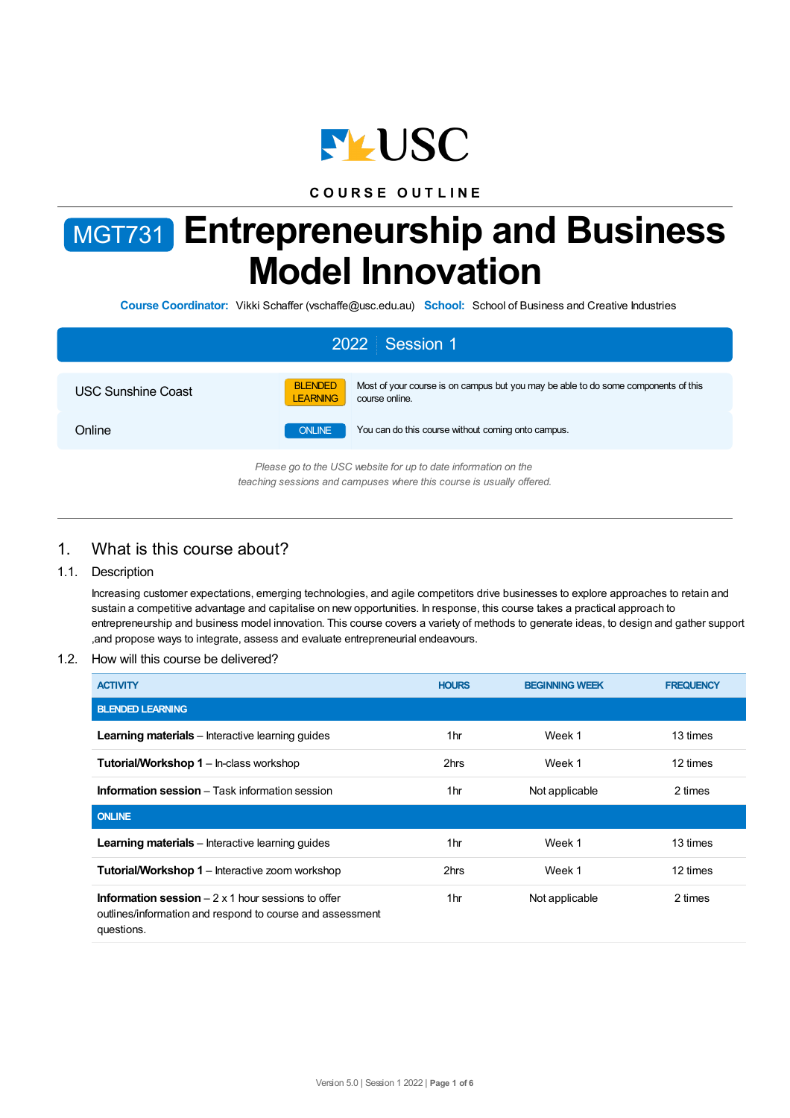

# **C O U R S E O U T L I N E**

# MGT731 **Entrepreneurship and Business Model Innovation**

**Course Coordinator:** Vikki Schaffer (vschaffe@usc.edu.au) **School:** School of Business and Creative Industries

| 2022 Session 1                                                                                                                         |                                   |                                                                                                      |  |  |  |
|----------------------------------------------------------------------------------------------------------------------------------------|-----------------------------------|------------------------------------------------------------------------------------------------------|--|--|--|
| <b>USC Sunshine Coast</b>                                                                                                              | <b>BLENDED</b><br><b>LEARNING</b> | Most of your course is on campus but you may be able to do some components of this<br>course online. |  |  |  |
| Online                                                                                                                                 | <b>ONLINE</b>                     | You can do this course without coming onto campus.                                                   |  |  |  |
| Please go to the USC website for up to date information on the<br>teaching sessions and campuses where this course is usually offered. |                                   |                                                                                                      |  |  |  |

# 1. What is this course about?

## 1.1. Description

Increasing customer expectations, emerging technologies, and agile competitors drive businesses to explore approaches to retain and sustain a competitive advantage and capitalise on new opportunities. In response, this course takes a practical approach to entrepreneurship and business model innovation. This course covers a variety of methods to generate ideas, to design and gather support ,and propose ways to integrate, assess and evaluate entrepreneurial endeavours.

#### 1.2. How will this course be delivered?

| <b>ACTIVITY</b>                                                                                                                            | <b>HOURS</b>    | <b>BEGINNING WEEK</b> | <b>FREQUENCY</b> |
|--------------------------------------------------------------------------------------------------------------------------------------------|-----------------|-----------------------|------------------|
| <b>BLENDED LEARNING</b>                                                                                                                    |                 |                       |                  |
| <b>Learning materials</b> – Interactive learning quides                                                                                    | 1hr             | Week 1                | 13 times         |
| <b>Tutorial/Workshop 1</b> – In-class workshop                                                                                             | 2hrs            | Week 1                | 12 times         |
| <b>Information session</b> – Task information session                                                                                      | 1hr             | Not applicable        | 2 times          |
| <b>ONLINE</b>                                                                                                                              |                 |                       |                  |
| <b>Learning materials</b> – Interactive learning quides                                                                                    | 1hr             | Week 1                | 13 times         |
| <b>Tutorial/Workshop 1</b> – Interactive zoom workshop                                                                                     | 2hrs            | Week 1                | 12 times         |
| <b>Information session</b> $-2 \times 1$ hour sessions to offer<br>outlines/information and respond to course and assessment<br>questions. | 1 <sub>hr</sub> | Not applicable        | 2 times          |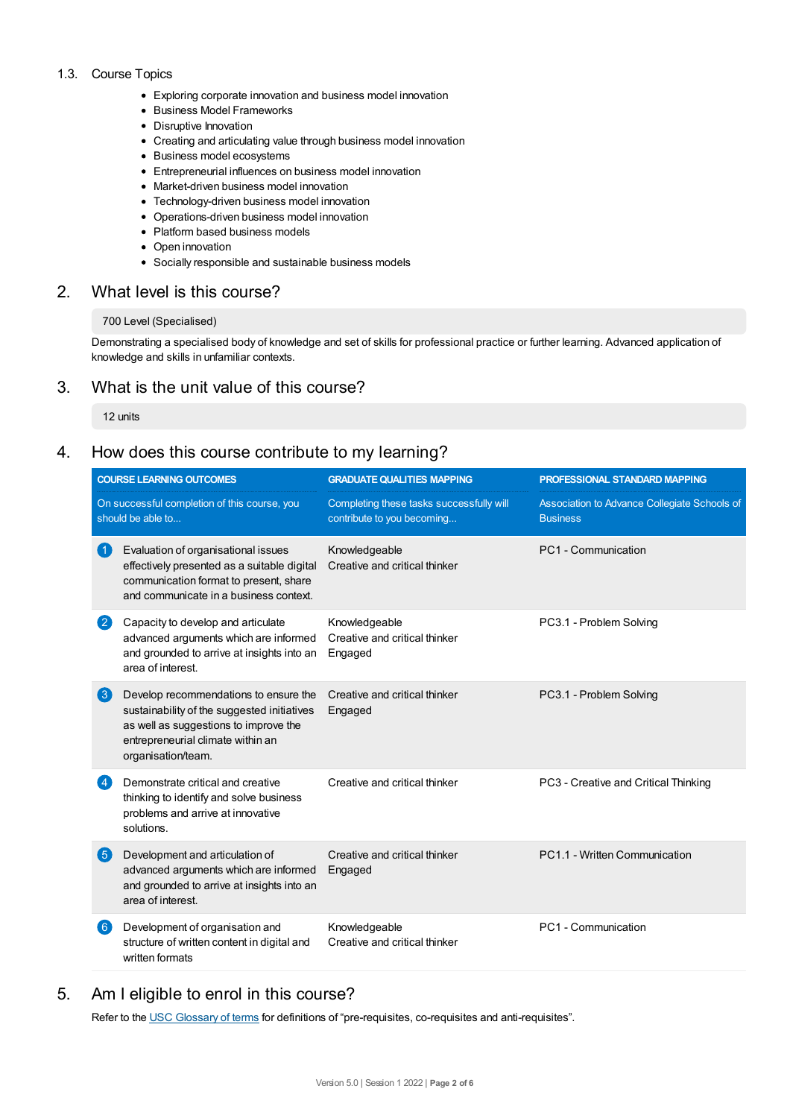## 1.3. Course Topics

- Exploring corporate innovation and business model innovation
- Business Model Frameworks
- Disruptive Innovation
- Creating and articulating value through business model innovation
- Business model ecosystems
- Entrepreneurial influences on business model innovation
- Market-driven business model innovation
- Technology-driven business model innovation
- Operations-driven business model innovation
- Platform based business models
- Open innovation
- Socially responsible and sustainable business models

# 2. What level is this course?

## 700 Level (Specialised)

Demonstrating a specialised body of knowledge and set of skills for professional practice or further learning. Advanced application of knowledge and skills in unfamiliar contexts.

# 3. What is the unit value of this course?

12 units

# 4. How does this course contribute to my learning?

| <b>COURSE LEARNING OUTCOMES</b>                                   |                                                                                                                                                                                          | <b>GRADUATE QUALITIES MAPPING</b>                                      | PROFESSIONAL STANDARD MAPPING                                   |  |
|-------------------------------------------------------------------|------------------------------------------------------------------------------------------------------------------------------------------------------------------------------------------|------------------------------------------------------------------------|-----------------------------------------------------------------|--|
| On successful completion of this course, you<br>should be able to |                                                                                                                                                                                          | Completing these tasks successfully will<br>contribute to you becoming | Association to Advance Collegiate Schools of<br><b>Business</b> |  |
| $\vert$ 1                                                         | Evaluation of organisational issues<br>effectively presented as a suitable digital<br>communication format to present, share<br>and communicate in a business context.                   | Knowledgeable<br>Creative and critical thinker                         | PC1 - Communication                                             |  |
| 2                                                                 | Capacity to develop and articulate<br>advanced arguments which are informed<br>and grounded to arrive at insights into an<br>area of interest.                                           | Knowledgeable<br>Creative and critical thinker<br>Engaged              | PC3.1 - Problem Solving                                         |  |
| $\left( 3\right)$                                                 | Develop recommendations to ensure the<br>sustainability of the suggested initiatives<br>as well as suggestions to improve the<br>entrepreneurial climate within an<br>organisation/team. | Creative and critical thinker<br>Engaged                               | PC3.1 - Problem Solving                                         |  |
| $\left 4\right\rangle$                                            | Demonstrate critical and creative<br>thinking to identify and solve business<br>problems and arrive at innovative<br>solutions.                                                          | Creative and critical thinker                                          | PC3 - Creative and Critical Thinking                            |  |
| 6                                                                 | Development and articulation of<br>advanced arguments which are informed<br>and grounded to arrive at insights into an<br>area of interest.                                              | Creative and critical thinker<br>Engaged                               | PC1.1 - Written Communication                                   |  |
| $\left[ 6 \right]$                                                | Development of organisation and<br>structure of written content in digital and<br>written formats                                                                                        | Knowledgeable<br>Creative and critical thinker                         | PC1 - Communication                                             |  |

# 5. Am Ieligible to enrol in this course?

Refer to the USC [Glossary](https://www.usc.edu.au/about/policies-and-procedures/glossary-of-terms-for-policy-and-procedures) of terms for definitions of "pre-requisites, co-requisites and anti-requisites".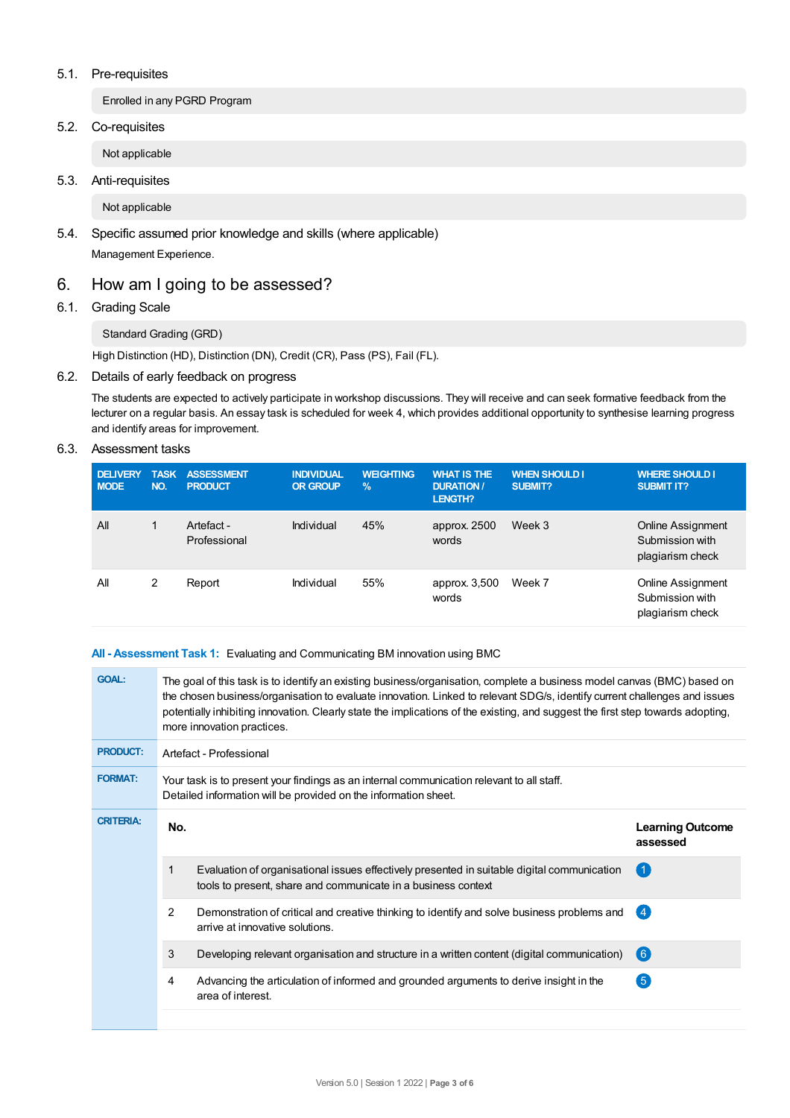## 5.1. Pre-requisites

Enrolled in any PGRD Program

5.2. Co-requisites

Not applicable

5.3. Anti-requisites

Not applicable

5.4. Specific assumed prior knowledge and skills (where applicable)

Management Experience.

# 6. How am Igoing to be assessed?

## 6.1. Grading Scale

## Standard Grading (GRD)

High Distinction (HD), Distinction (DN), Credit (CR), Pass (PS), Fail (FL).

## 6.2. Details of early feedback on progress

The students are expected to actively participate in workshop discussions. They will receive and can seek formative feedback from the lecturer on a regular basis. An essay task is scheduled for week 4, which provides additional opportunity to synthesise learning progress and identify areas for improvement.

## 6.3. Assessment tasks

| <b>DELIVERY</b><br><b>MODE</b> | <b>TASK</b><br>NO. | <b>ASSESSMENT</b><br><b>PRODUCT</b> | <b>INDIVIDUAL</b><br><b>OR GROUP</b> | <b>WEIGHTING</b><br>$\frac{9}{6}$ | <b>WHAT IS THE</b><br><b>DURATION /</b><br><b>LENGTH?</b> | <b>WHEN SHOULD I</b><br>SUBMIT? | <b>WHERE SHOULD I</b><br><b>SUBMIT IT?</b>                      |
|--------------------------------|--------------------|-------------------------------------|--------------------------------------|-----------------------------------|-----------------------------------------------------------|---------------------------------|-----------------------------------------------------------------|
| All                            |                    | Artefact -<br>Professional          | Individual                           | 45%                               | approx. 2500<br>words                                     | Week 3                          | <b>Online Assignment</b><br>Submission with<br>plagiarism check |
| All                            | 2                  | Report                              | Individual                           | 55%                               | approx. 3,500<br>words                                    | Week 7                          | <b>Online Assignment</b><br>Submission with<br>plagiarism check |

## **All - Assessment Task 1:** Evaluating and Communicating BM innovation using BMC

| <b>GOAL:</b>     | The goal of this task is to identify an existing business/organisation, complete a business model canvas (BMC) based on<br>the chosen business/organisation to evaluate innovation. Linked to relevant SDG/s, identify current challenges and issues<br>potentially inhibiting innovation. Clearly state the implications of the existing, and suggest the first step towards adopting,<br>more innovation practices. |                                                                                                                                                              |                                     |  |  |  |
|------------------|-----------------------------------------------------------------------------------------------------------------------------------------------------------------------------------------------------------------------------------------------------------------------------------------------------------------------------------------------------------------------------------------------------------------------|--------------------------------------------------------------------------------------------------------------------------------------------------------------|-------------------------------------|--|--|--|
| <b>PRODUCT:</b>  | Artefact - Professional                                                                                                                                                                                                                                                                                                                                                                                               |                                                                                                                                                              |                                     |  |  |  |
| <b>FORMAT:</b>   | Your task is to present your findings as an internal communication relevant to all staff.<br>Detailed information will be provided on the information sheet.                                                                                                                                                                                                                                                          |                                                                                                                                                              |                                     |  |  |  |
| <b>CRITERIA:</b> | No.                                                                                                                                                                                                                                                                                                                                                                                                                   |                                                                                                                                                              | <b>Learning Outcome</b><br>assessed |  |  |  |
|                  | 1                                                                                                                                                                                                                                                                                                                                                                                                                     | Evaluation of organisational issues effectively presented in suitable digital communication<br>tools to present, share and communicate in a business context |                                     |  |  |  |
|                  | 2                                                                                                                                                                                                                                                                                                                                                                                                                     | Demonstration of critical and creative thinking to identify and solve business problems and<br>arrive at innovative solutions.                               | (4)                                 |  |  |  |
|                  | 3                                                                                                                                                                                                                                                                                                                                                                                                                     | Developing relevant organisation and structure in a written content (digital communication)                                                                  | (6)                                 |  |  |  |
|                  | 4                                                                                                                                                                                                                                                                                                                                                                                                                     | Advancing the articulation of informed and grounded arguments to derive insight in the<br>area of interest.                                                  | $\sqrt{5}$                          |  |  |  |
|                  |                                                                                                                                                                                                                                                                                                                                                                                                                       |                                                                                                                                                              |                                     |  |  |  |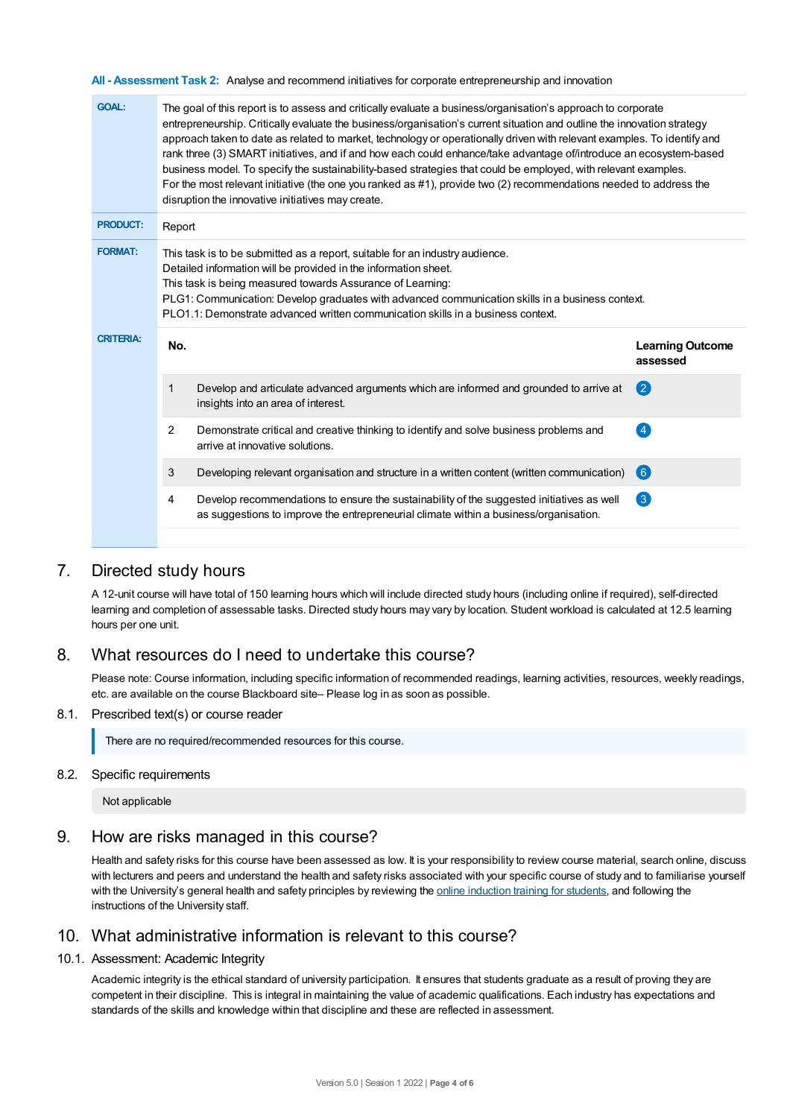**All - Assessment Task 2:** Analyse and recommend initiatives for corporate entrepreneurship and innovation

| <b>GOAL:</b>     | The goal of this report is to assess and critically evaluate a business/organisation's approach to corporate<br>entrepreneurship. Critically evaluate the business/organisation's current situation and outline the innovation strategy<br>approach taken to date as related to market, technology or operationally driven with relevant examples. To identify and<br>rank three (3) SMART initiatives, and if and how each could enhance/take advantage of/introduce an ecosystem-based<br>business model. To specify the sustainability-based strategies that could be employed, with relevant examples.<br>For the most relevant initiative (the one you ranked as #1), provide two (2) recommendations needed to address the<br>disruption the innovative initiatives may create. |                                                                                                                                                                                    |                                     |  |  |  |
|------------------|---------------------------------------------------------------------------------------------------------------------------------------------------------------------------------------------------------------------------------------------------------------------------------------------------------------------------------------------------------------------------------------------------------------------------------------------------------------------------------------------------------------------------------------------------------------------------------------------------------------------------------------------------------------------------------------------------------------------------------------------------------------------------------------|------------------------------------------------------------------------------------------------------------------------------------------------------------------------------------|-------------------------------------|--|--|--|
| <b>PRODUCT:</b>  | Report                                                                                                                                                                                                                                                                                                                                                                                                                                                                                                                                                                                                                                                                                                                                                                                |                                                                                                                                                                                    |                                     |  |  |  |
| <b>FORMAT:</b>   | This task is to be submitted as a report, suitable for an industry audience.<br>Detailed information will be provided in the information sheet.<br>This task is being measured towards Assurance of Learning:<br>PLG1: Communication: Develop graduates with advanced communication skills in a business context.<br>PLO1.1: Demonstrate advanced written communication skills in a business context.                                                                                                                                                                                                                                                                                                                                                                                 |                                                                                                                                                                                    |                                     |  |  |  |
| <b>CRITERIA:</b> | No.                                                                                                                                                                                                                                                                                                                                                                                                                                                                                                                                                                                                                                                                                                                                                                                   |                                                                                                                                                                                    | <b>Learning Outcome</b><br>assessed |  |  |  |
|                  | 1<br>insights into an area of interest.                                                                                                                                                                                                                                                                                                                                                                                                                                                                                                                                                                                                                                                                                                                                               | Develop and articulate advanced arguments which are informed and grounded to arrive at                                                                                             | (2)                                 |  |  |  |
|                  | 2<br>arrive at innovative solutions.                                                                                                                                                                                                                                                                                                                                                                                                                                                                                                                                                                                                                                                                                                                                                  | Demonstrate critical and creative thinking to identify and solve business problems and                                                                                             | $\overline{4}$                      |  |  |  |
|                  | 3                                                                                                                                                                                                                                                                                                                                                                                                                                                                                                                                                                                                                                                                                                                                                                                     | Developing relevant organisation and structure in a written content (written communication)                                                                                        | $\left( 6\right)$                   |  |  |  |
|                  | 4                                                                                                                                                                                                                                                                                                                                                                                                                                                                                                                                                                                                                                                                                                                                                                                     | Develop recommendations to ensure the sustainability of the suggested initiatives as well<br>as suggestions to improve the entrepreneurial climate within a business/organisation. | $\left( 3\right)$                   |  |  |  |
|                  |                                                                                                                                                                                                                                                                                                                                                                                                                                                                                                                                                                                                                                                                                                                                                                                       |                                                                                                                                                                                    |                                     |  |  |  |

# 7. Directed study hours

A 12-unit course will have total of 150 learning hours which will include directed study hours (including online if required), self-directed learning and completion of assessable tasks. Directed study hours may vary by location. Student workload is calculated at 12.5 learning hours per one unit.

# 8. What resources do I need to undertake this course?

Please note: Course information, including specific information of recommended readings, learning activities, resources, weekly readings, etc. are available on the course Blackboard site– Please log in as soon as possible.

#### 8.1. Prescribed text(s) or course reader

There are no required/recommended resources for this course.

#### 8.2. Specific requirements

Not applicable

# 9. How are risks managed in this course?

Health and safety risks for this course have been assessed as low. It is your responsibility to review course material, search online, discuss with lecturers and peers and understand the health and safety risks associated with your specific course of study and to familiarise yourself with the University's general health and safety principles by reviewing the online [induction](https://online.usc.edu.au/webapps/blackboard/content/listContentEditable.jsp?content_id=_632657_1&course_id=_14432_1) training for students, and following the instructions of the University staff.

# 10. What administrative information is relevant to this course?

## 10.1. Assessment: Academic Integrity

Academic integrity is the ethical standard of university participation. It ensures that students graduate as a result of proving they are competent in their discipline. This is integral in maintaining the value of academic qualifications. Each industry has expectations and standards of the skills and knowledge within that discipline and these are reflected in assessment.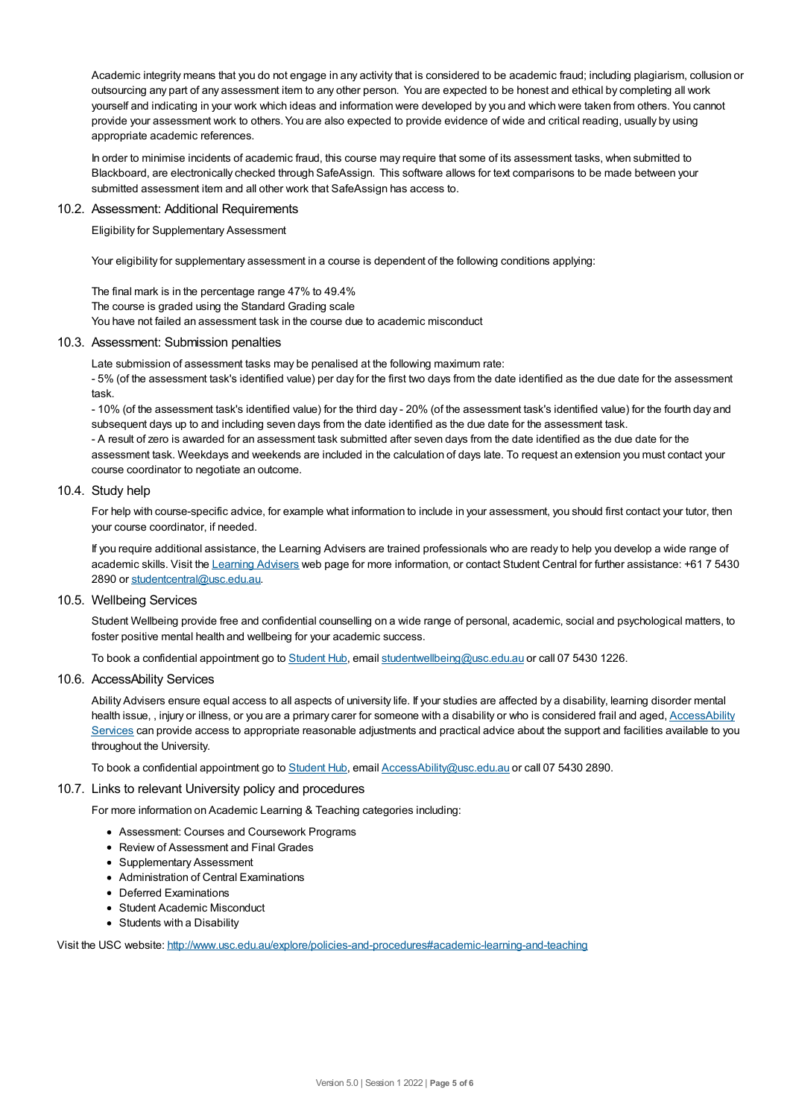Academic integrity means that you do not engage in any activity that is considered to be academic fraud; including plagiarism, collusion or outsourcing any part of any assessment item to any other person. You are expected to be honest and ethical by completing all work yourself and indicating in your work which ideas and information were developed by you and which were taken from others. You cannot provide your assessment work to others.You are also expected to provide evidence of wide and critical reading, usually by using appropriate academic references.

In order to minimise incidents of academic fraud, this course may require that some of its assessment tasks, when submitted to Blackboard, are electronically checked through SafeAssign. This software allows for text comparisons to be made between your submitted assessment item and all other work that SafeAssign has access to.

#### 10.2. Assessment: Additional Requirements

Eligibility for Supplementary Assessment

Your eligibility for supplementary assessment in a course is dependent of the following conditions applying:

The final mark is in the percentage range 47% to 49.4% The course is graded using the Standard Grading scale You have not failed an assessment task in the course due to academic misconduct

#### 10.3. Assessment: Submission penalties

Late submission of assessment tasks may be penalised at the following maximum rate:

- 5% (of the assessment task's identified value) per day for the first two days from the date identified as the due date for the assessment task.

- 10% (of the assessment task's identified value) for the third day - 20% (of the assessment task's identified value) for the fourth day and subsequent days up to and including seven days from the date identified as the due date for the assessment task. - A result of zero is awarded for an assessment task submitted after seven days from the date identified as the due date for the assessment task. Weekdays and weekends are included in the calculation of days late. To request an extension you must contact your course coordinator to negotiate an outcome.

#### 10.4. Study help

For help with course-specific advice, for example what information to include in your assessment, you should first contact your tutor, then your course coordinator, if needed.

If you require additional assistance, the Learning Advisers are trained professionals who are ready to help you develop a wide range of academic skills. Visit the Learning [Advisers](https://www.usc.edu.au/current-students/student-support/academic-and-study-support/learning-advisers) web page for more information, or contact Student Central for further assistance: +61 7 5430 2890 or [studentcentral@usc.edu.au](mailto:studentcentral@usc.edu.au).

#### 10.5. Wellbeing Services

Student Wellbeing provide free and confidential counselling on a wide range of personal, academic, social and psychological matters, to foster positive mental health and wellbeing for your academic success.

To book a confidential appointment go to [Student](https://studenthub.usc.edu.au/) Hub, email [studentwellbeing@usc.edu.au](mailto:studentwellbeing@usc.edu.au) or call 07 5430 1226.

## 10.6. AccessAbility Services

Ability Advisers ensure equal access to all aspects of university life. If your studies are affected by a disability, learning disorder mental health issue, , injury or illness, or you are a primary carer for someone with a disability or who is considered frail and aged, [AccessAbility](https://www.usc.edu.au/learn/student-support/accessability-services/documentation-requirements) Services can provide access to appropriate reasonable adjustments and practical advice about the support and facilities available to you throughout the University.

To book a confidential appointment go to [Student](https://studenthub.usc.edu.au/) Hub, email [AccessAbility@usc.edu.au](mailto:AccessAbility@usc.edu.au) or call 07 5430 2890.

#### 10.7. Links to relevant University policy and procedures

For more information on Academic Learning & Teaching categories including:

- Assessment: Courses and Coursework Programs
- Review of Assessment and Final Grades
- Supplementary Assessment
- Administration of Central Examinations
- Deferred Examinations
- Student Academic Misconduct
- Students with a Disability

Visit the USC website: <http://www.usc.edu.au/explore/policies-and-procedures#academic-learning-and-teaching>